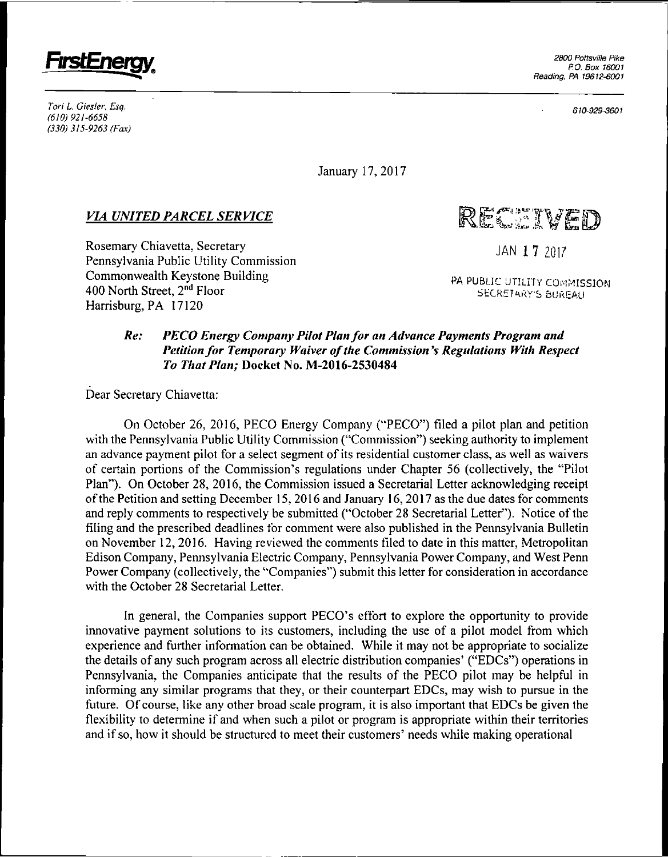

*Tori L Giesler, Esq. (610) 921-6658 (330) 315-9263 (Fox)*

*610-929-3601*

January 17, 2017

## *VIA UNITED PARCEL SERVICE*

Rosemary Chiavetta, Secretary Pennsylvania Public Utility Commission Commonwealth Keystone Building 400 North Street, 2nd Floor Harrisburg, PA 17120

RECTIVED

JAN **1 7** 2017

PA PUBLIC UTILITY COMMISSION SECRETARY'S BUREAU

## *Re: PECO Energy Company Pilot Planfor an Advance Payments Program and Petition for Temporary Waiver of the Commission's Regulations With Respect To That Plan;* Docket No. M-2016-2530484

Dear Secretary Chiavetta:

On October 26, 2016, PECO Energy Company ("PECO") filed <sup>a</sup> pilot plan and petition with the Pennsylvania Public Utility Commission ("Commission") seeking authority to implement an advance payment pilot for a select segment of its residential customer class, as well as waivers of certain portions of the Commission's regulations under Chapter <sup>56</sup> (collectively, the "Pilot Plan"). On October 28, 2016, the Commission issued <sup>a</sup> Secretarial Letter acknowledging receipt ofthe Petition and setting December 15, 2016 and January 16,2017 as the due dates for comments and reply comments to respectively be submitted ("October 28 Secretarial Letter"). Notice of the filing and the prescribed deadlines for comment were also published in the Pennsylvania Bulletin on November 12, 2016. Having reviewed the comments filed to date in this matter, Metropolitan Edison Company, Pennsylvania Electric Company, Pennsylvania Power Company, and West Penn Power Company (collectively, the "Companies") submit this letter for consideration in accordance with the October 28 Secretarial Letter.

In general, the Companies support PECO's effort to explore the opportunity to provide innovative payment solutions to its customers, including the use of a pilot model from which experience and further information can be obtained. While it may not be appropriate to socialize the details of any such program across all electric distribution companies' ("EDCs") operations in Pennsylvania, the Companies anticipate that the results of the PECO pilot may be helpful in informing any similar programs that they, or their counterpart EDCs, may wish to pursue in the future. Of course, like any other broad scale program, it is also important that EDCs be given the flexibility to determine if and when such <sup>a</sup> pilot or program is appropriate within their territories and if so, how it should be structured to meet their customers' needs while making operational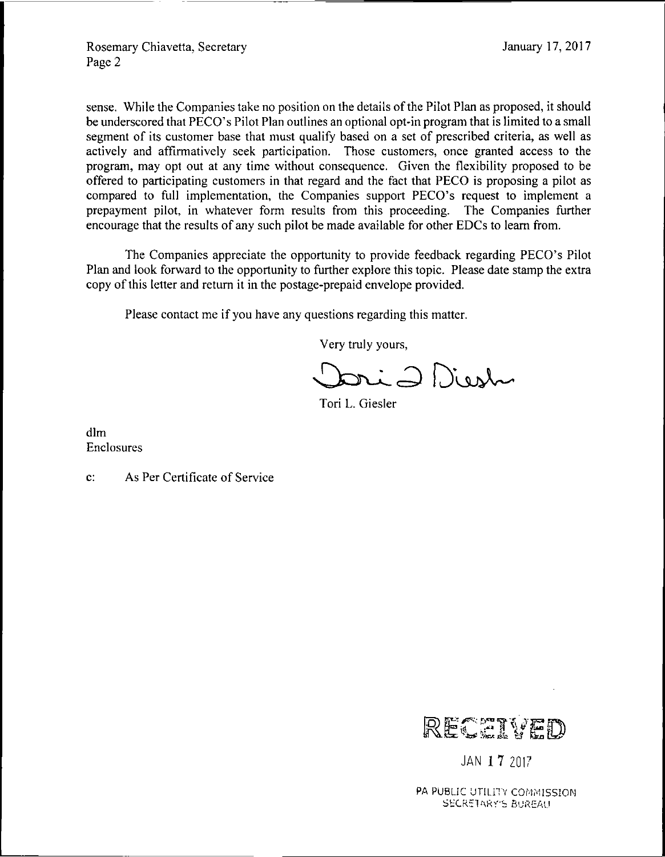sense. While the Companies take no position on the details of the Pilot Plan as proposed, it should be underscored that PECO's Pilot Plan outlines an optional opt-in program that is limited to a small segment of its customer base that must qualify based on <sup>a</sup> set of prescribed criteria, as well as actively and affirmatively seek participation. Those customers, once granted access to the program, may opt out at any time without consequence. Given the flexibility proposed to be offered to participating customers in that regard and the fact that PECO is proposing a pilot as compared to full implementation, the Companies support PECO's request to implement <sup>a</sup> prepayment pilot, in whatever form results from this proceeding. The Companies further encourage that the results of any such pilot be made available for other EDCs to learn from.

The Companies appreciate the opportunity to provide feedback regarding PECO's Pilot Plan and look forward to the opportunity to further explore this topic. Please date stamp the extra copy of this letter and return it in the postage-prepaid envelope provided.

Please contact me if you have any questions regarding this matter.

Very truly yours,

ri 2 Diesh

Tori L. Giesler

dim Enclosures

c: As Per Certificate of Service



JAN **1 7** 2017

PA PUBLIC UTILITY COMMISSION **SECRETARY'S BUREAU**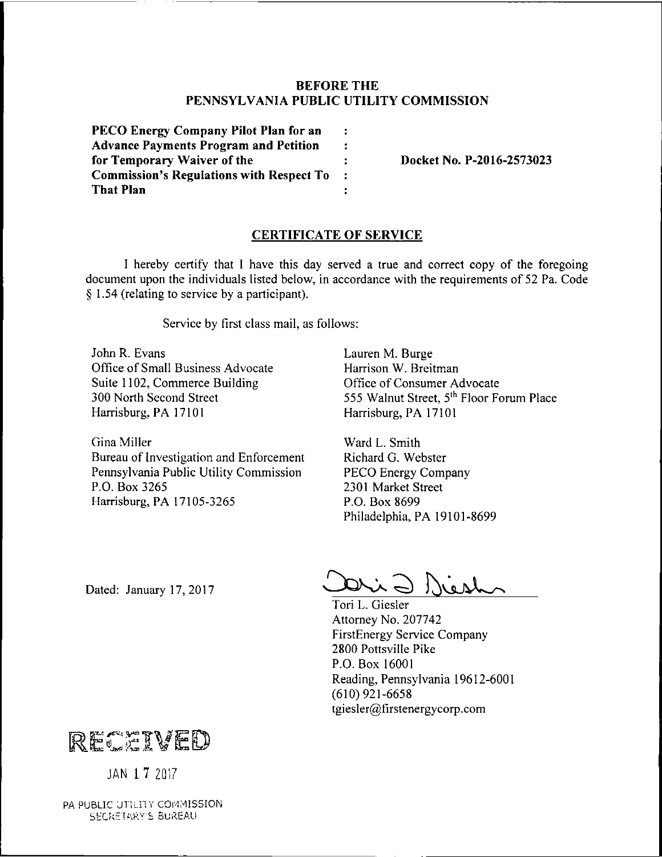## **BEFORE THE PENNSYLVANIA PUBLIC UTILITY COMMISSION**

| PECO Energy Company Pilot Plan for an<br><b>Advance Payments Program and Petition</b><br>for Temporary Waiver of the | : |
|----------------------------------------------------------------------------------------------------------------------|---|
|                                                                                                                      | : |
|                                                                                                                      | ÷ |
| <b>Commission's Regulations with Respect To</b>                                                                      | ÷ |
| <b>That Plan</b>                                                                                                     |   |

**for Temporary Waiver of the : Docket No. P-2016-2573023**

## **CERTIFICATE OF SERVICE**

I hereby certify that I have this day served <sup>a</sup> true and correct copy of the foregoing document upon the individuals listed below, in accordance with the requirements of 52 Pa. Code § 1.54 (relating to service by a participant).

Service by first class mail, as follows:

John R. Evans Office of Small Business Advocate Suite 1102, Commerce Building 300 North Second Street Harrisburg, PA 17101

Gina Miller Bureau of Investigation and Enforcement Pennsylvania Public Utility Commission P.O. Box 3265 Harrisburg, PA 17105-3265

Lauren M. Burge Harrison W. Breitman Office of Consumer Advocate 555 Walnut Street, 5<sup>th</sup> Floor Forum Place Harrisburg, PA 17101

Ward L. Smith Richard G. Webster PECO Energy Company 2301 Market Street P.O. Box 8699 Philadelphia, PA 19101-8699

Dated: January 17, 2017

West

Tori L. Giesler Attorney No. 207742 FirstEnergy Service Company 2800 Pottsville Pike P.O. Box 16001 Reading, Pennsylvania 19612-6001 (610) 921-6658 tgiesler@firstenergycorp.com



JAN **<sup>1</sup> 7** <sup>201</sup> <sup>7</sup> *t*

PA PUBLIC UTILITY COMMISSION SECRETARY'S BUREAU